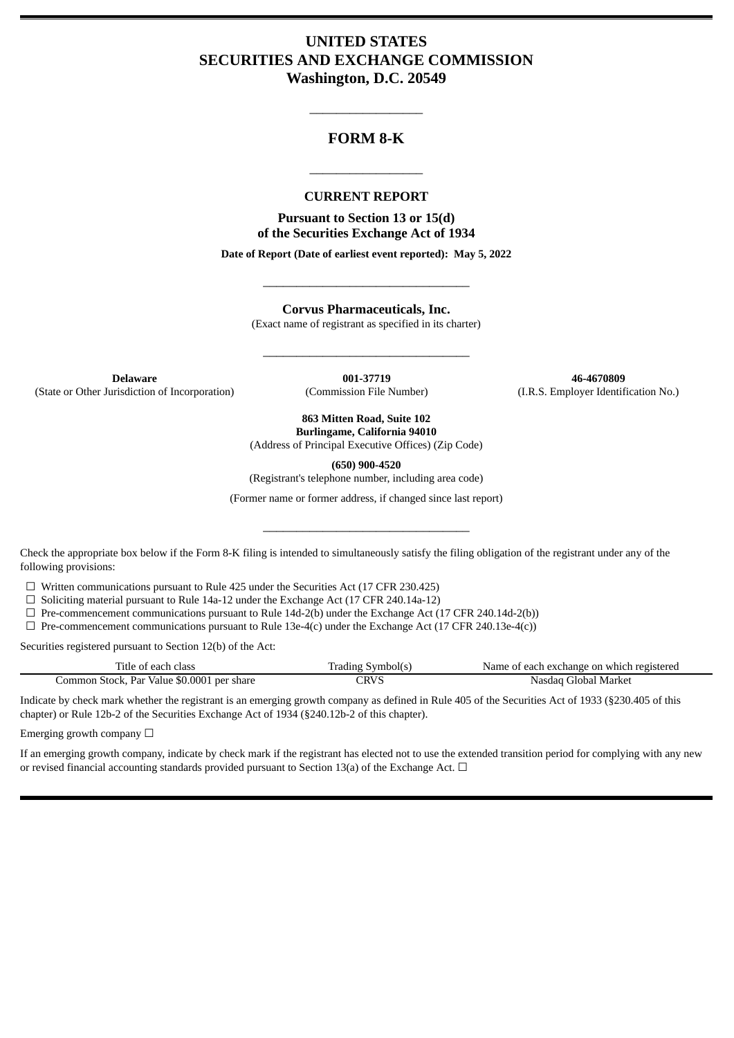# **UNITED STATES SECURITIES AND EXCHANGE COMMISSION Washington, D.C. 20549**

## **FORM 8-K**

\_\_\_\_\_\_\_\_\_\_\_\_\_\_\_\_\_

#### **CURRENT REPORT**

\_\_\_\_\_\_\_\_\_\_\_\_\_\_\_\_\_

**Pursuant to Section 13 or 15(d) of the Securities Exchange Act of 1934**

**Date of Report (Date of earliest event reported): May 5, 2022**

\_\_\_\_\_\_\_\_\_\_\_\_\_\_\_\_\_\_\_\_\_\_\_\_\_\_\_\_\_\_\_

**Corvus Pharmaceuticals, Inc.**

(Exact name of registrant as specified in its charter)

\_\_\_\_\_\_\_\_\_\_\_\_\_\_\_\_\_\_\_\_\_\_\_\_\_\_\_\_\_\_\_

**Delaware 001-37719 46-4670809** (State or Other Jurisdiction of Incorporation) (Commission File Number) (I.R.S. Employer Identification No.)

**863 Mitten Road, Suite 102 Burlingame, California 94010**

(Address of Principal Executive Offices) (Zip Code)

**(650) 900-4520**

(Registrant's telephone number, including area code)

(Former name or former address, if changed since last report)

\_\_\_\_\_\_\_\_\_\_\_\_\_\_\_\_\_\_\_\_\_\_\_\_\_\_\_\_\_\_\_

Check the appropriate box below if the Form 8-K filing is intended to simultaneously satisfy the filing obligation of the registrant under any of the following provisions:

☐ Written communications pursuant to Rule 425 under the Securities Act (17 CFR 230.425)

☐ Soliciting material pursuant to Rule 14a-12 under the Exchange Act (17 CFR 240.14a-12)

 $\Box$  Pre-commencement communications pursuant to Rule 14d-2(b) under the Exchange Act (17 CFR 240.14d-2(b))

 $\Box$  Pre-commencement communications pursuant to Rule 13e-4(c) under the Exchange Act (17 CFR 240.13e-4(c))

Securities registered pursuant to Section 12(b) of the Act:

| Title of each class                        | [rading Symbol(s) | Name of each exchange on which registered |
|--------------------------------------------|-------------------|-------------------------------------------|
| Common Stock, Par Value \$0.0001 per share | :RVS              | Nasdag Global Market                      |

Indicate by check mark whether the registrant is an emerging growth company as defined in Rule 405 of the Securities Act of 1933 (§230.405 of this chapter) or Rule 12b-2 of the Securities Exchange Act of 1934 (§240.12b-2 of this chapter).

Emerging growth company  $\Box$ 

If an emerging growth company, indicate by check mark if the registrant has elected not to use the extended transition period for complying with any new or revised financial accounting standards provided pursuant to Section 13(a) of the Exchange Act.  $\Box$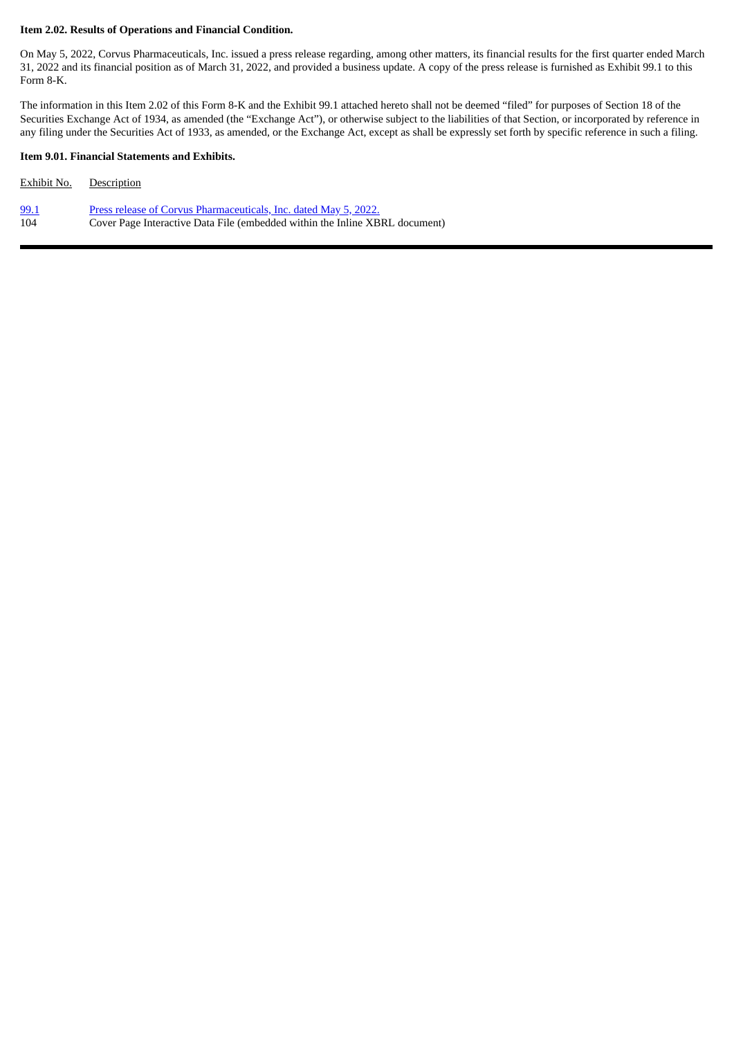#### **Item 2.02. Results of Operations and Financial Condition.**

On May 5, 2022, Corvus Pharmaceuticals, Inc. issued a press release regarding, among other matters, its financial results for the first quarter ended March 31, 2022 and its financial position as of March 31, 2022, and provided a business update. A copy of the press release is furnished as Exhibit 99.1 to this Form 8-K.

The information in this Item 2.02 of this Form 8-K and the Exhibit 99.1 attached hereto shall not be deemed "filed" for purposes of Section 18 of the Securities Exchange Act of 1934, as amended (the "Exchange Act"), or otherwise subject to the liabilities of that Section, or incorporated by reference in any filing under the Securities Act of 1933, as amended, or the Exchange Act, except as shall be expressly set forth by specific reference in such a filing.

#### **Item 9.01. Financial Statements and Exhibits.**

| Exhibit No. | <b>Description</b>                                                          |
|-------------|-----------------------------------------------------------------------------|
| 99.1        | <u>Press release of Corvus Pharmaceuticals, Inc. dated May 5, 2022.</u>     |
| 104         | Cover Page Interactive Data File (embedded within the Inline XBRL document) |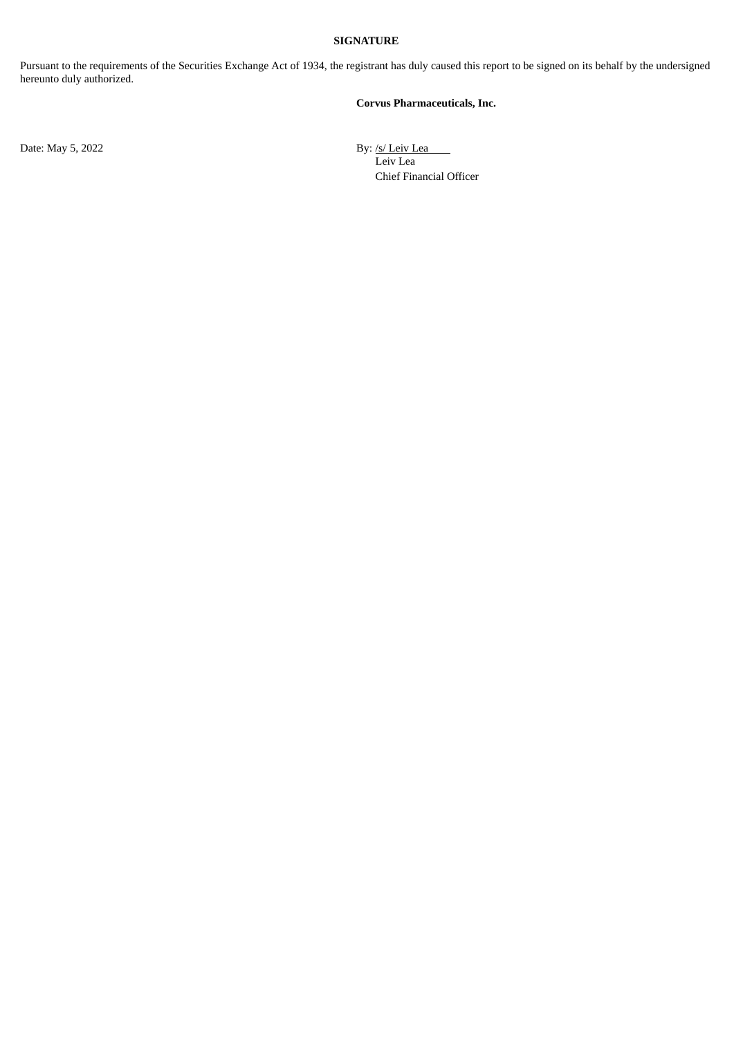#### **SIGNATURE**

Pursuant to the requirements of the Securities Exchange Act of 1934, the registrant has duly caused this report to be signed on its behalf by the undersigned hereunto duly authorized.

#### **Corvus Pharmaceuticals, Inc.**

Date: May 5, 2022 By: /s/ Leiv Lea Leiv Lea Chief Financial Officer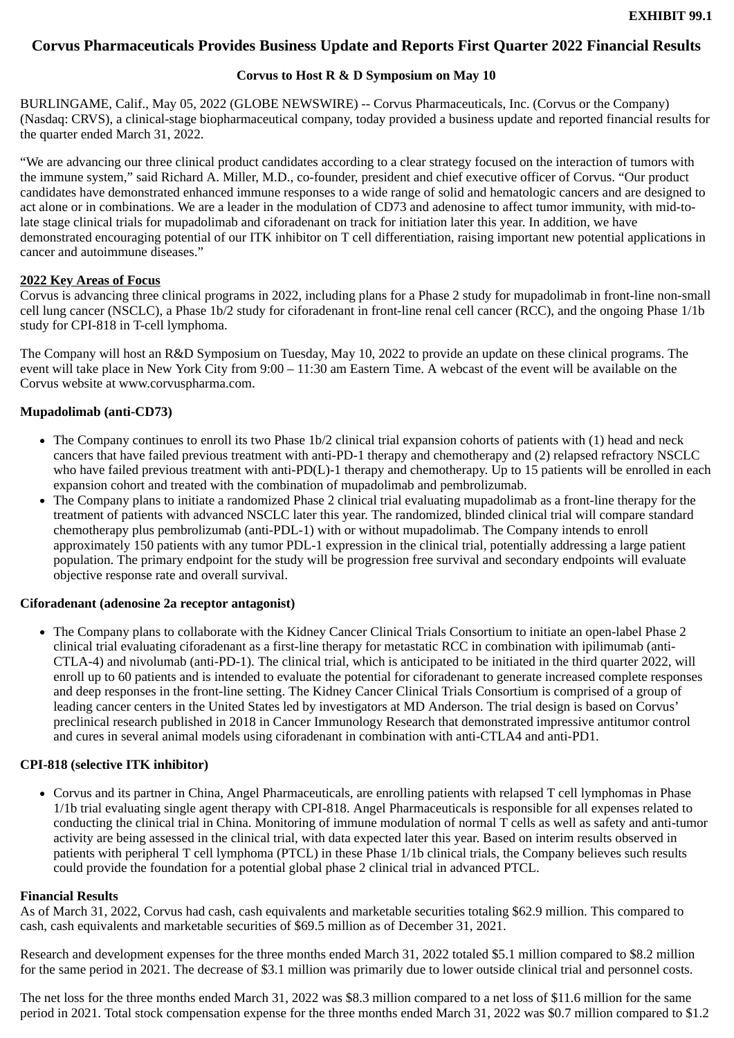## <span id="page-3-0"></span>**Corvus Pharmaceuticals Provides Business Update and Reports First Quarter 2022 Financial Results**

#### **Corvus to Host R & D Symposium on May 10**

BURLINGAME, Calif., May 05, 2022 (GLOBE NEWSWIRE) -- Corvus Pharmaceuticals, Inc. (Corvus or the Company) (Nasdaq: CRVS), a clinical-stage biopharmaceutical company, today provided a business update and reported financial results for the quarter ended March 31, 2022.

"We are advancing our three clinical product candidates according to a clear strategy focused on the interaction of tumors with the immune system," said Richard A. Miller, M.D., co-founder, president and chief executive officer of Corvus. "Our product candidates have demonstrated enhanced immune responses to a wide range of solid and hematologic cancers and are designed to act alone or in combinations. We are a leader in the modulation of CD73 and adenosine to affect tumor immunity, with mid-tolate stage clinical trials for mupadolimab and ciforadenant on track for initiation later this year. In addition, we have demonstrated encouraging potential of our ITK inhibitor on T cell differentiation, raising important new potential applications in cancer and autoimmune diseases."

#### **2022 Key Areas of Focus**

Corvus is advancing three clinical programs in 2022, including plans for a Phase 2 study for mupadolimab in front-line non-small cell lung cancer (NSCLC), a Phase 1b/2 study for ciforadenant in front-line renal cell cancer (RCC), and the ongoing Phase 1/1b study for CPI-818 in T-cell lymphoma.

The Company will host an R&D Symposium on Tuesday, May 10, 2022 to provide an update on these clinical programs. The event will take place in New York City from 9:00 – 11:30 am Eastern Time. A webcast of the event will be available on the Corvus website at www.corvuspharma.com.

## **Mupadolimab (anti-CD73)**

- The Company continues to enroll its two Phase 1b/2 clinical trial expansion cohorts of patients with (1) head and neck cancers that have failed previous treatment with anti-PD-1 therapy and chemotherapy and (2) relapsed refractory NSCLC who have failed previous treatment with anti-PD(L)-1 therapy and chemotherapy. Up to 15 patients will be enrolled in each expansion cohort and treated with the combination of mupadolimab and pembrolizumab.
- The Company plans to initiate a randomized Phase 2 clinical trial evaluating mupadolimab as a front-line therapy for the treatment of patients with advanced NSCLC later this year. The randomized, blinded clinical trial will compare standard chemotherapy plus pembrolizumab (anti-PDL-1) with or without mupadolimab. The Company intends to enroll approximately 150 patients with any tumor PDL-1 expression in the clinical trial, potentially addressing a large patient population. The primary endpoint for the study will be progression free survival and secondary endpoints will evaluate objective response rate and overall survival.

## **Ciforadenant (adenosine 2a receptor antagonist)**

The Company plans to collaborate with the Kidney Cancer Clinical Trials Consortium to initiate an open-label Phase 2 clinical trial evaluating ciforadenant as a first-line therapy for metastatic RCC in combination with ipilimumab (anti-CTLA-4) and nivolumab (anti-PD-1). The clinical trial, which is anticipated to be initiated in the third quarter 2022, will enroll up to 60 patients and is intended to evaluate the potential for ciforadenant to generate increased complete responses and deep responses in the front-line setting. The Kidney Cancer Clinical Trials Consortium is comprised of a group of leading cancer centers in the United States led by investigators at MD Anderson. The trial design is based on Corvus' preclinical research published in 2018 in Cancer Immunology Research that demonstrated impressive antitumor control and cures in several animal models using ciforadenant in combination with anti-CTLA4 and anti-PD1.

## **CPI-818 (selective ITK inhibitor)**

Corvus and its partner in China, Angel Pharmaceuticals, are enrolling patients with relapsed T cell lymphomas in Phase 1/1b trial evaluating single agent therapy with CPI-818. Angel Pharmaceuticals is responsible for all expenses related to conducting the clinical trial in China. Monitoring of immune modulation of normal T cells as well as safety and anti-tumor activity are being assessed in the clinical trial, with data expected later this year. Based on interim results observed in patients with peripheral T cell lymphoma (PTCL) in these Phase 1/1b clinical trials, the Company believes such results could provide the foundation for a potential global phase 2 clinical trial in advanced PTCL.

#### **Financial Results**

As of March 31, 2022, Corvus had cash, cash equivalents and marketable securities totaling \$62.9 million. This compared to cash, cash equivalents and marketable securities of \$69.5 million as of December 31, 2021.

Research and development expenses for the three months ended March 31, 2022 totaled \$5.1 million compared to \$8.2 million for the same period in 2021. The decrease of \$3.1 million was primarily due to lower outside clinical trial and personnel costs.

The net loss for the three months ended March 31, 2022 was \$8.3 million compared to a net loss of \$11.6 million for the same period in 2021. Total stock compensation expense for the three months ended March 31, 2022 was \$0.7 million compared to \$1.2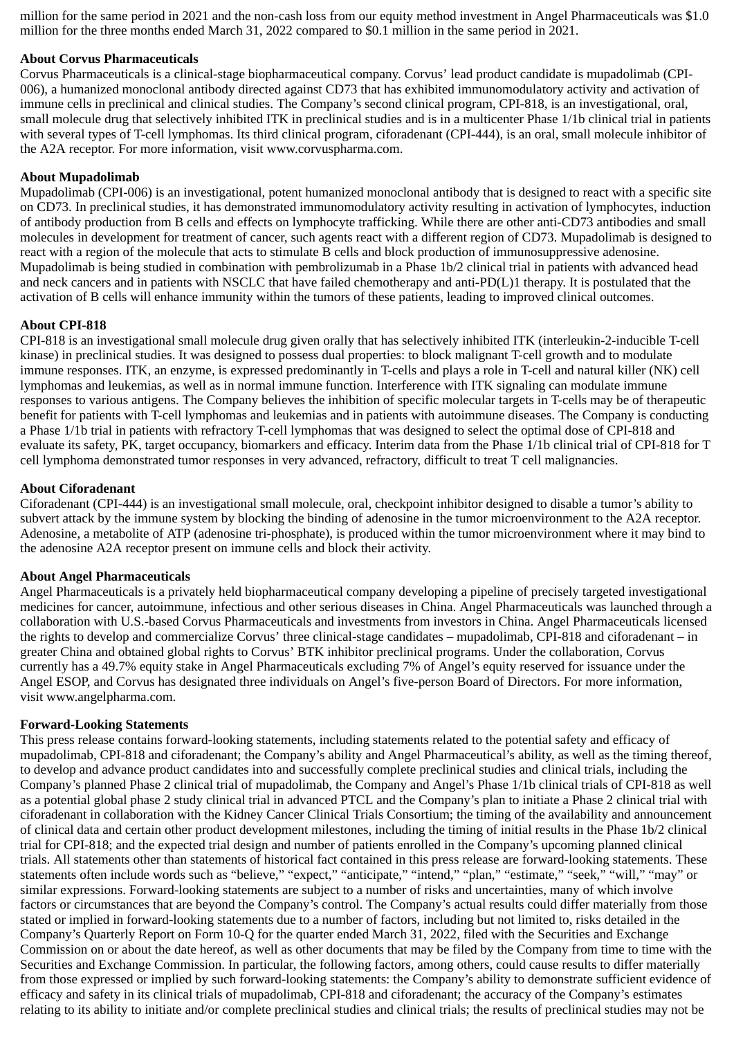million for the same period in 2021 and the non-cash loss from our equity method investment in Angel Pharmaceuticals was \$1.0 million for the three months ended March 31, 2022 compared to \$0.1 million in the same period in 2021.

## **About Corvus Pharmaceuticals**

Corvus Pharmaceuticals is a clinical-stage biopharmaceutical company. Corvus' lead product candidate is mupadolimab (CPI-006), a humanized monoclonal antibody directed against CD73 that has exhibited immunomodulatory activity and activation of immune cells in preclinical and clinical studies. The Company's second clinical program, CPI-818, is an investigational, oral, small molecule drug that selectively inhibited ITK in preclinical studies and is in a multicenter Phase 1/1b clinical trial in patients with several types of T-cell lymphomas. Its third clinical program, ciforadenant (CPI-444), is an oral, small molecule inhibitor of the A2A receptor. For more information, visit www.corvuspharma.com.

## **About Mupadolimab**

Mupadolimab (CPI-006) is an investigational, potent humanized monoclonal antibody that is designed to react with a specific site on CD73. In preclinical studies, it has demonstrated immunomodulatory activity resulting in activation of lymphocytes, induction of antibody production from B cells and effects on lymphocyte trafficking. While there are other anti-CD73 antibodies and small molecules in development for treatment of cancer, such agents react with a different region of CD73. Mupadolimab is designed to react with a region of the molecule that acts to stimulate B cells and block production of immunosuppressive adenosine. Mupadolimab is being studied in combination with pembrolizumab in a Phase 1b/2 clinical trial in patients with advanced head and neck cancers and in patients with NSCLC that have failed chemotherapy and anti-PD(L)1 therapy. It is postulated that the activation of B cells will enhance immunity within the tumors of these patients, leading to improved clinical outcomes.

## **About CPI-818**

CPI-818 is an investigational small molecule drug given orally that has selectively inhibited ITK (interleukin-2-inducible T-cell kinase) in preclinical studies. It was designed to possess dual properties: to block malignant T-cell growth and to modulate immune responses. ITK, an enzyme, is expressed predominantly in T-cells and plays a role in T-cell and natural killer (NK) cell lymphomas and leukemias, as well as in normal immune function. Interference with ITK signaling can modulate immune responses to various antigens. The Company believes the inhibition of specific molecular targets in T-cells may be of therapeutic benefit for patients with T-cell lymphomas and leukemias and in patients with autoimmune diseases. The Company is conducting a Phase 1/1b trial in patients with refractory T-cell lymphomas that was designed to select the optimal dose of CPI-818 and evaluate its safety, PK, target occupancy, biomarkers and efficacy. Interim data from the Phase 1/1b clinical trial of CPI-818 for T cell lymphoma demonstrated tumor responses in very advanced, refractory, difficult to treat T cell malignancies.

## **About Ciforadenant**

Ciforadenant (CPI-444) is an investigational small molecule, oral, checkpoint inhibitor designed to disable a tumor's ability to subvert attack by the immune system by blocking the binding of adenosine in the tumor microenvironment to the A2A receptor. Adenosine, a metabolite of ATP (adenosine tri-phosphate), is produced within the tumor microenvironment where it may bind to the adenosine A2A receptor present on immune cells and block their activity.

## **About Angel Pharmaceuticals**

Angel Pharmaceuticals is a privately held biopharmaceutical company developing a pipeline of precisely targeted investigational medicines for cancer, autoimmune, infectious and other serious diseases in China. Angel Pharmaceuticals was launched through a collaboration with U.S.-based Corvus Pharmaceuticals and investments from investors in China. Angel Pharmaceuticals licensed the rights to develop and commercialize Corvus' three clinical-stage candidates – mupadolimab, CPI-818 and ciforadenant – in greater China and obtained global rights to Corvus' BTK inhibitor preclinical programs. Under the collaboration, Corvus currently has a 49.7% equity stake in Angel Pharmaceuticals excluding 7% of Angel's equity reserved for issuance under the Angel ESOP, and Corvus has designated three individuals on Angel's five-person Board of Directors. For more information, visit www.angelpharma.com.

## **Forward-Looking Statements**

This press release contains forward-looking statements, including statements related to the potential safety and efficacy of mupadolimab, CPI-818 and ciforadenant; the Company's ability and Angel Pharmaceutical's ability, as well as the timing thereof, to develop and advance product candidates into and successfully complete preclinical studies and clinical trials, including the Company's planned Phase 2 clinical trial of mupadolimab, the Company and Angel's Phase 1/1b clinical trials of CPI-818 as well as a potential global phase 2 study clinical trial in advanced PTCL and the Company's plan to initiate a Phase 2 clinical trial with ciforadenant in collaboration with the Kidney Cancer Clinical Trials Consortium; the timing of the availability and announcement of clinical data and certain other product development milestones, including the timing of initial results in the Phase 1b/2 clinical trial for CPI-818; and the expected trial design and number of patients enrolled in the Company's upcoming planned clinical trials. All statements other than statements of historical fact contained in this press release are forward-looking statements. These statements often include words such as "believe," "expect," "anticipate," "intend," "plan," "estimate," "seek," "will," "may" or similar expressions. Forward-looking statements are subject to a number of risks and uncertainties, many of which involve factors or circumstances that are beyond the Company's control. The Company's actual results could differ materially from those stated or implied in forward-looking statements due to a number of factors, including but not limited to, risks detailed in the Company's Quarterly Report on Form 10-Q for the quarter ended March 31, 2022, filed with the Securities and Exchange Commission on or about the date hereof, as well as other documents that may be filed by the Company from time to time with the Securities and Exchange Commission. In particular, the following factors, among others, could cause results to differ materially from those expressed or implied by such forward-looking statements: the Company's ability to demonstrate sufficient evidence of efficacy and safety in its clinical trials of mupadolimab, CPI-818 and ciforadenant; the accuracy of the Company's estimates relating to its ability to initiate and/or complete preclinical studies and clinical trials; the results of preclinical studies may not be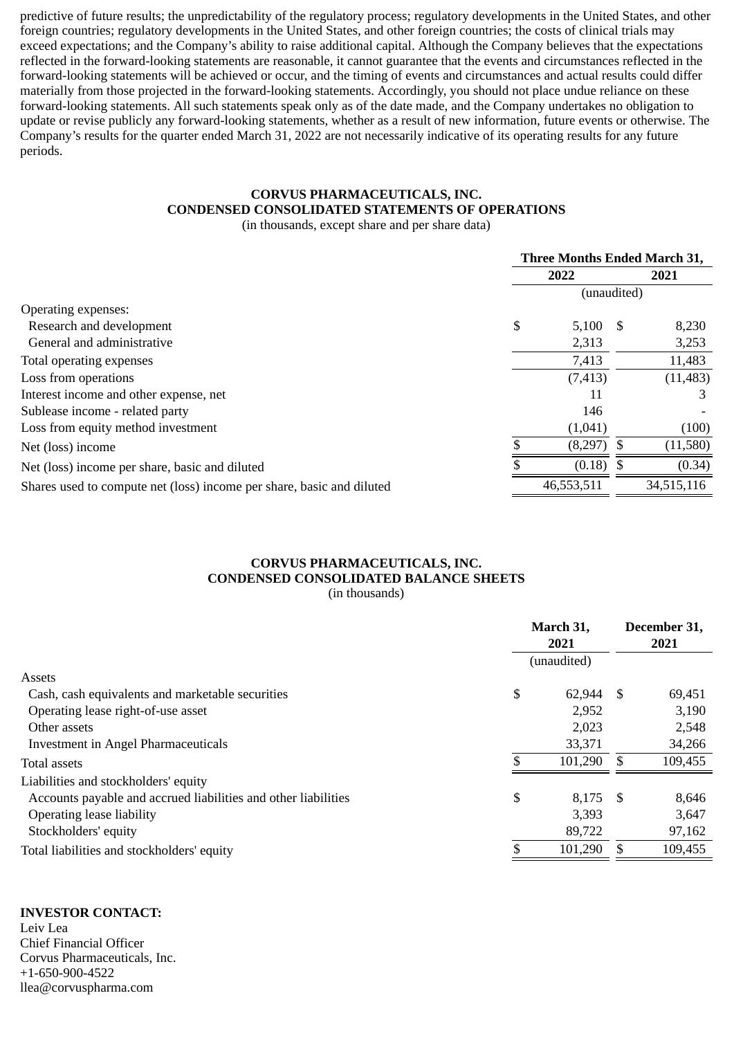predictive of future results; the unpredictability of the regulatory process; regulatory developments in the United States, and other foreign countries; regulatory developments in the United States, and other foreign countries; the costs of clinical trials may exceed expectations; and the Company's ability to raise additional capital. Although the Company believes that the expectations reflected in the forward-looking statements are reasonable, it cannot guarantee that the events and circumstances reflected in the forward-looking statements will be achieved or occur, and the timing of events and circumstances and actual results could differ materially from those projected in the forward-looking statements. Accordingly, you should not place undue reliance on these forward-looking statements. All such statements speak only as of the date made, and the Company undertakes no obligation to update or revise publicly any forward-looking statements, whether as a result of new information, future events or otherwise. The Company's results for the quarter ended March 31, 2022 are not necessarily indicative of its operating results for any future periods.

# **CORVUS PHARMACEUTICALS, INC. CONDENSED CONSOLIDATED STATEMENTS OF OPERATIONS**

(in thousands, except share and per share data)

|                                                                       | <b>Three Months Ended March 31,</b> |            |      |            |
|-----------------------------------------------------------------------|-------------------------------------|------------|------|------------|
|                                                                       | 2022                                |            | 2021 |            |
|                                                                       | (unaudited)                         |            |      |            |
| Operating expenses:                                                   |                                     |            |      |            |
| Research and development                                              | \$                                  | $5,100$ \$ |      | 8,230      |
| General and administrative                                            |                                     | 2,313      |      | 3,253      |
| Total operating expenses                                              |                                     | 7,413      |      | 11,483     |
| Loss from operations                                                  |                                     | (7, 413)   |      | (11, 483)  |
| Interest income and other expense, net                                |                                     | 11         |      | З          |
| Sublease income - related party                                       |                                     | 146        |      |            |
| Loss from equity method investment                                    |                                     | (1,041)    |      | (100)      |
| Net (loss) income                                                     |                                     | (8,297)    |      | (11, 580)  |
| Net (loss) income per share, basic and diluted                        |                                     | (0.18)     |      | (0.34)     |
| Shares used to compute net (loss) income per share, basic and diluted |                                     | 46,553,511 |      | 34,515,116 |

# **CORVUS PHARMACEUTICALS, INC. CONDENSED CONSOLIDATED BALANCE SHEETS**

(in thousands)

|                                                                |             | March 31,<br>2021 |      | December 31,<br>2021 |  |
|----------------------------------------------------------------|-------------|-------------------|------|----------------------|--|
|                                                                | (unaudited) |                   |      |                      |  |
| Assets                                                         |             |                   |      |                      |  |
| Cash, cash equivalents and marketable securities               | \$          | 62,944            | -\$  | 69,451               |  |
| Operating lease right-of-use asset                             |             | 2,952             |      | 3,190                |  |
| Other assets                                                   |             | 2,023             |      | 2,548                |  |
| <b>Investment in Angel Pharmaceuticals</b>                     |             | 33,371            |      | 34,266               |  |
| Total assets                                                   |             | 101,290           |      | 109,455              |  |
| Liabilities and stockholders' equity                           |             |                   |      |                      |  |
| Accounts payable and accrued liabilities and other liabilities | \$          | 8,175             | - \$ | 8,646                |  |
| Operating lease liability                                      |             | 3,393             |      | 3,647                |  |
| Stockholders' equity                                           |             | 89,722            |      | 97,162               |  |
| Total liabilities and stockholders' equity                     |             | 101,290           |      | 109,455              |  |

# **INVESTOR CONTACT:**

Leiv Lea Chief Financial Officer Corvus Pharmaceuticals, Inc. +1-650-900-4522 llea@corvuspharma.com